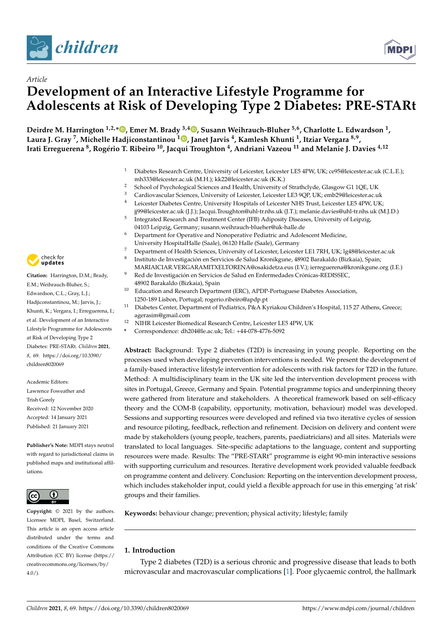



# *Article* **Development of an Interactive Lifestyle Programme for Adolescents at Risk of Developing Type 2 Diabetes: PRE-STARt**

**Deirdre M. Harrington 1,2,[\\*](https://orcid.org/0000-0003-0278-6812) , Emer M. Brady 3,4 [,](https://orcid.org/0000-0002-4715-9145) Susann Weihrauch-Bluher 5,6, Charlotte L. Edwardson <sup>1</sup> , Laura J. Gray <sup>7</sup> , Michelle Hadjiconstantinou <sup>1</sup> [,](https://orcid.org/0000-0003-2827-0988) Janet Jarvis <sup>4</sup> , Kamlesh Khunti <sup>1</sup> , Itziar Vergara 8,9 , Irati Erreguerena <sup>8</sup> , Rogério T. Ribeiro <sup>10</sup>, Jacqui Troughton <sup>4</sup> , Andriani Vazeou <sup>11</sup> and Melanie J. Davies 4,12**

- <sup>1</sup> Diabetes Research Centre, University of Leicester, Leicester LE5 4PW, UK; ce95@leicester.ac.uk (C.L.E.); mh333@leicester.ac.uk (M.H.); kk22@leicester.ac.uk (K.K.)
- 2 School of Psychological Sciences and Health, University of Strathclyde, Glasgow G1 1QE, UK<br>3 Continuum In Crimera University of Literature Literature LE200D LIKe and 200 bites tensor
- <sup>3</sup> Cardiovascular Sciences, University of Leicester, Leicester LE3 9QP, UK; emb29@leicester.ac.uk<br><sup>4</sup> Leicester, Diabetes Centre, University Hespitals of Leicester NHS Trust, Leicester LE5 4PW, UK
- <sup>4</sup> Leicester Diabetes Centre, University Hospitals of Leicester NHS Trust, Leicester LE5 4PW, UK; jj99@leicester.ac.uk (J.J.); Jacqui.Troughton@uhl-tr.nhs.uk (J.T.); melanie.davies@uhl-tr.nhs.uk (M.J.D.)
- 5 Integrated Research and Treatment Center (IFB) Adiposity Diseases, University of Leipzig, 04103 Leipzig, Germany; susann.weihrauch-blueher@uk-halle.de
- <sup>6</sup> Department for Operative and Nonoperative Pediatric and Adolescent Medicine, University HospitalHalle (Saale), 06120 Halle (Saale), Germany
- <sup>7</sup> Department of Health Sciences, University of Leicester, Leicester LE1 7RH, UK; lg48@leicester.ac.uk
- 8 Instituto de Investigación en Servicios de Salud Kronikgune, 48902 Barakaldo (Bizkaia), Spain; MARIAICIAR.VERGARAMITXELTORENA@osakidetza.eus (I.V.); ierreguerena@kronikgune.org (I.E.)
- <sup>9</sup> Red de Investigación en Servicios de Salud en Enfermedades Crónicas-REDISSEC, 48902 Barakaldo (Bizkaia), Spain
- <sup>10</sup> Education and Research Department (ERC), APDP-Portuguese Diabetes Association, 1250-189 Lisbon, Portugal; rogerio.ribeiro@apdp.pt
- <sup>11</sup> Diabetes Center, Department of Pediatrics, P&A Kyriakou Children's Hospital, 115 27 Athens, Greece; agerasim@gmail.com
- <sup>12</sup> NIHR Leicester Biomedical Research Centre, Leicester LE5 4PW, UK
- **\*** Correspondence: dh204@le.ac.uk; Tel.: +44-078-4776-5092

**Abstract:** Background: Type 2 diabetes (T2D) is increasing in young people. Reporting on the processes used when developing prevention interventions is needed. We present the development of a family-based interactive lifestyle intervention for adolescents with risk factors for T2D in the future. Method: A multidisciplinary team in the UK site led the intervention development process with sites in Portugal, Greece, Germany and Spain. Potential programme topics and underpinning theory were gathered from literature and stakeholders. A theoretical framework based on self-efficacy theory and the COM-B (capability, opportunity, motivation, behaviour) model was developed. Sessions and supporting resources were developed and refined via two iterative cycles of session and resource piloting, feedback, reflection and refinement. Decision on delivery and content were made by stakeholders (young people, teachers, parents, paediatricians) and all sites. Materials were translated to local languages. Site-specific adaptations to the language, content and supporting resources were made. Results: The "PRE-STARt" programme is eight 90-min interactive sessions with supporting curriculum and resources. Iterative development work provided valuable feedback on programme content and delivery. Conclusion: Reporting on the intervention development process, which includes stakeholder input, could yield a flexible approach for use in this emerging 'at risk' groups and their families.

**Keywords:** behaviour change; prevention; physical activity; lifestyle; family

# **1. Introduction**

Type 2 diabetes (T2D) is a serious chronic and progressive disease that leads to both microvascular and macrovascular complications [\[1\]](#page-11-0). Poor glycaemic control, the hallmark



**Citation:** Harrington, D.M.; Brady, E.M.; Weihrauch-Bluher, S.; Edwardson, C.L.; Gray, L.J.; Hadjiconstantinou, M.; Jarvis, J.; Khunti, K.; Vergara, I.; Erreguerena, I.; et al. Development of an Interactive Lifestyle Programme for Adolescents at Risk of Developing Type 2 Diabetes: PRE-STARt. *Children* **2021**, *8*, 69. [https://doi.org/10.3390/](https://doi.org/10.3390/children8020069) [children8020069](https://doi.org/10.3390/children8020069)

Academic Editors: Lawrence Foweather and Trish Gorely Received: 12 November 2020 Accepted: 14 January 2021 Published: 21 January 2021

**Publisher's Note:** MDPI stays neutral with regard to jurisdictional claims in published maps and institutional affiliations.



**Copyright:** © 2021 by the authors. Licensee MDPI, Basel, Switzerland. This article is an open access article distributed under the terms and conditions of the Creative Commons Attribution (CC BY) license (https:/[/](https://creativecommons.org/licenses/by/4.0/) [creativecommons.org/licenses/by/](https://creativecommons.org/licenses/by/4.0/)  $4.0/$ ).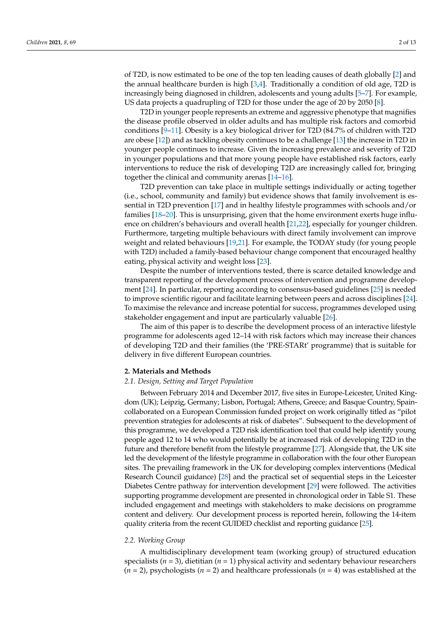of T2D, is now estimated to be one of the top ten leading causes of death globally [\[2\]](#page-11-1) and the annual healthcare burden is high  $[3,4]$  $[3,4]$ . Traditionally a condition of old age, T2D is increasingly being diagnosed in children, adolescents and young adults [\[5–](#page-11-4)[7\]](#page-11-5). For example, US data projects a quadrupling of T2D for those under the age of 20 by 2050 [\[8\]](#page-11-6).

T2D in younger people represents an extreme and aggressive phenotype that magnifies the disease profile observed in older adults and has multiple risk factors and comorbid conditions [\[9–](#page-11-7)[11\]](#page-11-8). Obesity is a key biological driver for T2D (84.7% of children with T2D are obese [\[12\]](#page-11-9)) and as tackling obesity continues to be a challenge [\[13\]](#page-12-0) the increase in T2D in younger people continues to increase. Given the increasing prevalence and severity of T2D in younger populations and that more young people have established risk factors, early interventions to reduce the risk of developing T2D are increasingly called for, bringing together the clinical and community arenas [\[14–](#page-12-1)[16\]](#page-12-2).

T2D prevention can take place in multiple settings individually or acting together (i.e., school, community and family) but evidence shows that family involvement is essential in T2D prevention [\[17\]](#page-12-3) and in healthy lifestyle programmes with schools and/or families [\[18–](#page-12-4)[20\]](#page-12-5). This is unsurprising, given that the home environment exerts huge influence on children's behaviours and overall health [\[21,](#page-12-6)[22\]](#page-12-7), especially for younger children. Furthermore, targeting multiple behaviours with direct family involvement can improve weight and related behaviours [\[19](#page-12-8)[,21\]](#page-12-6). For example, the TODAY study (for young people with T2D) included a family-based behaviour change component that encouraged healthy eating, physical activity and weight loss [\[23\]](#page-12-9).

Despite the number of interventions tested, there is scarce detailed knowledge and transparent reporting of the development process of intervention and programme development [\[24\]](#page-12-10). In particular, reporting according to consensus-based guidelines [\[25\]](#page-12-11) is needed to improve scientific rigour and facilitate learning between peers and across disciplines [\[24\]](#page-12-10). To maximise the relevance and increase potential for success, programmes developed using stakeholder engagement and input are particularly valuable [\[26\]](#page-12-12).

The aim of this paper is to describe the development process of an interactive lifestyle programme for adolescents aged 12–14 with risk factors which may increase their chances of developing T2D and their families (the 'PRE-STARt' programme) that is suitable for delivery in five different European countries.

#### **2. Materials and Methods**

#### *2.1. Design, Setting and Target Population*

Between February 2014 and December 2017, five sites in Europe-Leicester, United Kingdom (UK); Leipzig, Germany; Lisbon, Portugal; Athens, Greece; and Basque Country, Spaincollaborated on a European Commission funded project on work originally titled as "pilot prevention strategies for adolescents at risk of diabetes". Subsequent to the development of this programme, we developed a T2D risk identification tool that could help identify young people aged 12 to 14 who would potentially be at increased risk of developing T2D in the future and therefore benefit from the lifestyle programme [\[27\]](#page-12-13). Alongside that, the UK site led the development of the lifestyle programme in collaboration with the four other European sites. The prevailing framework in the UK for developing complex interventions (Medical Research Council guidance) [\[28\]](#page-12-14) and the practical set of sequential steps in the Leicester Diabetes Centre pathway for intervention development [\[29\]](#page-12-15) were followed. The activities supporting programme development are presented in chronological order in Table S1. These included engagement and meetings with stakeholders to make decisions on programme content and delivery. Our development process is reported herein, following the 14-item quality criteria from the recent GUIDED checklist and reporting guidance [\[25\]](#page-12-11).

# *2.2. Working Group*

A multidisciplinary development team (working group) of structured education specialists (*n* = 3), dietitian (*n* = 1) physical activity and sedentary behaviour researchers (*n* = 2), psychologists (*n* = 2) and healthcare professionals (*n* = 4) was established at the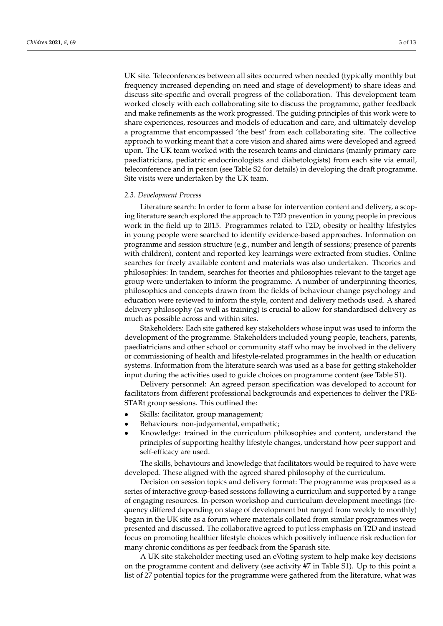UK site. Teleconferences between all sites occurred when needed (typically monthly but frequency increased depending on need and stage of development) to share ideas and discuss site-specific and overall progress of the collaboration. This development team worked closely with each collaborating site to discuss the programme, gather feedback and make refinements as the work progressed. The guiding principles of this work were to share experiences, resources and models of education and care, and ultimately develop a programme that encompassed 'the best' from each collaborating site. The collective approach to working meant that a core vision and shared aims were developed and agreed upon. The UK team worked with the research teams and clinicians (mainly primary care paediatricians, pediatric endocrinologists and diabetologists) from each site via email, teleconference and in person (see Table S2 for details) in developing the draft programme. Site visits were undertaken by the UK team.

#### *2.3. Development Process*

Literature search: In order to form a base for intervention content and delivery, a scoping literature search explored the approach to T2D prevention in young people in previous work in the field up to 2015. Programmes related to T2D, obesity or healthy lifestyles in young people were searched to identify evidence-based approaches. Information on programme and session structure (e.g., number and length of sessions; presence of parents with children), content and reported key learnings were extracted from studies. Online searches for freely available content and materials was also undertaken. Theories and philosophies: In tandem, searches for theories and philosophies relevant to the target age group were undertaken to inform the programme. A number of underpinning theories, philosophies and concepts drawn from the fields of behaviour change psychology and education were reviewed to inform the style, content and delivery methods used. A shared delivery philosophy (as well as training) is crucial to allow for standardised delivery as much as possible across and within sites.

Stakeholders: Each site gathered key stakeholders whose input was used to inform the development of the programme. Stakeholders included young people, teachers, parents, paediatricians and other school or community staff who may be involved in the delivery or commissioning of health and lifestyle-related programmes in the health or education systems. Information from the literature search was used as a base for getting stakeholder input during the activities used to guide choices on programme content (see Table S1).

Delivery personnel: An agreed person specification was developed to account for facilitators from different professional backgrounds and experiences to deliver the PRE-STARt group sessions. This outlined the:

- Skills: facilitator, group management;
- Behaviours: non-judgemental, empathetic;
- Knowledge: trained in the curriculum philosophies and content, understand the principles of supporting healthy lifestyle changes, understand how peer support and self-efficacy are used.

The skills, behaviours and knowledge that facilitators would be required to have were developed. These aligned with the agreed shared philosophy of the curriculum.

Decision on session topics and delivery format: The programme was proposed as a series of interactive group-based sessions following a curriculum and supported by a range of engaging resources. In-person workshop and curriculum development meetings (frequency differed depending on stage of development but ranged from weekly to monthly) began in the UK site as a forum where materials collated from similar programmes were presented and discussed. The collaborative agreed to put less emphasis on T2D and instead focus on promoting healthier lifestyle choices which positively influence risk reduction for many chronic conditions as per feedback from the Spanish site.

A UK site stakeholder meeting used an eVoting system to help make key decisions on the programme content and delivery (see activity #7 in Table S1). Up to this point a list of 27 potential topics for the programme were gathered from the literature, what was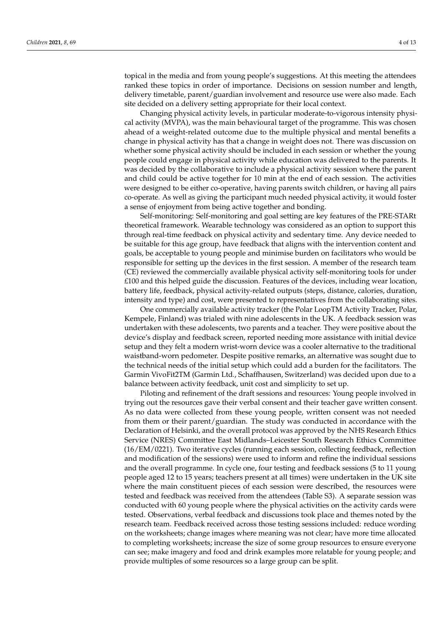topical in the media and from young people's suggestions. At this meeting the attendees ranked these topics in order of importance. Decisions on session number and length, delivery timetable, parent/guardian involvement and resource use were also made. Each site decided on a delivery setting appropriate for their local context.

Changing physical activity levels, in particular moderate-to-vigorous intensity physical activity (MVPA), was the main behavioural target of the programme. This was chosen ahead of a weight-related outcome due to the multiple physical and mental benefits a change in physical activity has that a change in weight does not. There was discussion on whether some physical activity should be included in each session or whether the young people could engage in physical activity while education was delivered to the parents. It was decided by the collaborative to include a physical activity session where the parent and child could be active together for 10 min at the end of each session. The activities were designed to be either co-operative, having parents switch children, or having all pairs co-operate. As well as giving the participant much needed physical activity, it would foster a sense of enjoyment from being active together and bonding.

Self-monitoring: Self-monitoring and goal setting are key features of the PRE-STARt theoretical framework. Wearable technology was considered as an option to support this through real-time feedback on physical activity and sedentary time. Any device needed to be suitable for this age group, have feedback that aligns with the intervention content and goals, be acceptable to young people and minimise burden on facilitators who would be responsible for setting up the devices in the first session. A member of the research team (CE) reviewed the commercially available physical activity self-monitoring tools for under £100 and this helped guide the discussion. Features of the devices, including wear location, battery life, feedback, physical activity-related outputs (steps, distance, calories, duration, intensity and type) and cost, were presented to representatives from the collaborating sites.

One commercially available activity tracker (the Polar LoopTM Activity Tracker, Polar, Kempele, Finland) was trialed with nine adolescents in the UK. A feedback session was undertaken with these adolescents, two parents and a teacher. They were positive about the device's display and feedback screen, reported needing more assistance with initial device setup and they felt a modern wrist-worn device was a cooler alternative to the traditional waistband-worn pedometer. Despite positive remarks, an alternative was sought due to the technical needs of the initial setup which could add a burden for the facilitators. The Garmin VivoFit2TM (Garmin Ltd., Schaffhausen, Switzerland) was decided upon due to a balance between activity feedback, unit cost and simplicity to set up.

Piloting and refinement of the draft sessions and resources: Young people involved in trying out the resources gave their verbal consent and their teacher gave written consent. As no data were collected from these young people, written consent was not needed from them or their parent/guardian. The study was conducted in accordance with the Declaration of Helsinki, and the overall protocol was approved by the NHS Research Ethics Service (NRES) Committee East Midlands–Leicester South Research Ethics Committee (16/EM/0221). Two iterative cycles (running each session, collecting feedback, reflection and modification of the sessions) were used to inform and refine the individual sessions and the overall programme. In cycle one, four testing and feedback sessions (5 to 11 young people aged 12 to 15 years; teachers present at all times) were undertaken in the UK site where the main constituent pieces of each session were described, the resources were tested and feedback was received from the attendees (Table S3). A separate session was conducted with 60 young people where the physical activities on the activity cards were tested. Observations, verbal feedback and discussions took place and themes noted by the research team. Feedback received across those testing sessions included: reduce wording on the worksheets; change images where meaning was not clear; have more time allocated to completing worksheets; increase the size of some group resources to ensure everyone can see; make imagery and food and drink examples more relatable for young people; and provide multiples of some resources so a large group can be split.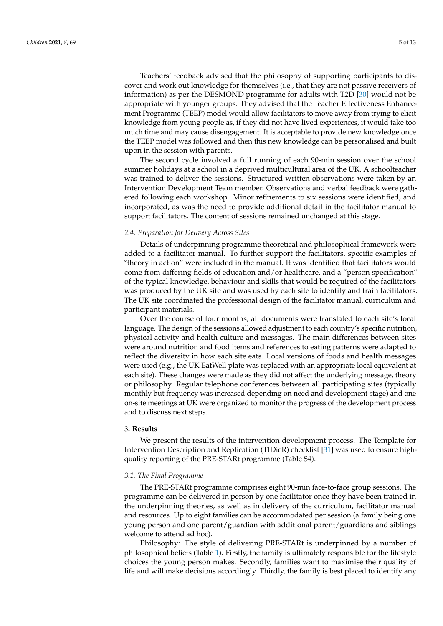Teachers' feedback advised that the philosophy of supporting participants to discover and work out knowledge for themselves (i.e., that they are not passive receivers of information) as per the DESMOND programme for adults with T2D [\[30\]](#page-12-16) would not be appropriate with younger groups. They advised that the Teacher Effectiveness Enhancement Programme (TEEP) model would allow facilitators to move away from trying to elicit knowledge from young people as, if they did not have lived experiences, it would take too much time and may cause disengagement. It is acceptable to provide new knowledge once the TEEP model was followed and then this new knowledge can be personalised and built upon in the session with parents.

The second cycle involved a full running of each 90-min session over the school summer holidays at a school in a deprived multicultural area of the UK. A schoolteacher was trained to deliver the sessions. Structured written observations were taken by an Intervention Development Team member. Observations and verbal feedback were gathered following each workshop. Minor refinements to six sessions were identified, and incorporated, as was the need to provide additional detail in the facilitator manual to support facilitators. The content of sessions remained unchanged at this stage.

# *2.4. Preparation for Delivery Across Sites*

Details of underpinning programme theoretical and philosophical framework were added to a facilitator manual. To further support the facilitators, specific examples of "theory in action" were included in the manual. It was identified that facilitators would come from differing fields of education and/or healthcare, and a "person specification" of the typical knowledge, behaviour and skills that would be required of the facilitators was produced by the UK site and was used by each site to identify and train facilitators. The UK site coordinated the professional design of the facilitator manual, curriculum and participant materials.

Over the course of four months, all documents were translated to each site's local language. The design of the sessions allowed adjustment to each country's specific nutrition, physical activity and health culture and messages. The main differences between sites were around nutrition and food items and references to eating patterns were adapted to reflect the diversity in how each site eats. Local versions of foods and health messages were used (e.g., the UK EatWell plate was replaced with an appropriate local equivalent at each site). These changes were made as they did not affect the underlying message, theory or philosophy. Regular telephone conferences between all participating sites (typically monthly but frequency was increased depending on need and development stage) and one on-site meetings at UK were organized to monitor the progress of the development process and to discuss next steps.

#### **3. Results**

We present the results of the intervention development process. The Template for Intervention Description and Replication (TIDieR) checklist [\[31\]](#page-12-17) was used to ensure highquality reporting of the PRE-STARt programme (Table S4).

#### *3.1. The Final Programme*

The PRE-STARt programme comprises eight 90-min face-to-face group sessions. The programme can be delivered in person by one facilitator once they have been trained in the underpinning theories, as well as in delivery of the curriculum, facilitator manual and resources. Up to eight families can be accommodated per session (a family being one young person and one parent/guardian with additional parent/guardians and siblings welcome to attend ad hoc).

Philosophy: The style of delivering PRE-STARt is underpinned by a number of philosophical beliefs (Table [1\)](#page-5-0). Firstly, the family is ultimately responsible for the lifestyle choices the young person makes. Secondly, families want to maximise their quality of life and will make decisions accordingly. Thirdly, the family is best placed to identify any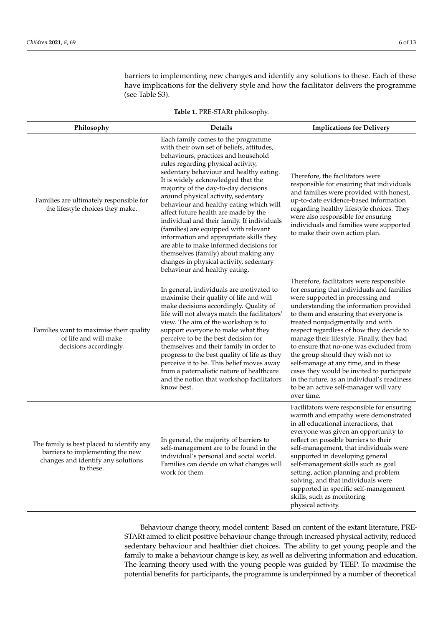barriers to implementing new changes and identify any solutions to these. Each of these have implications for the delivery style and how the facilitator delivers the programme (see Table S3).

<span id="page-5-0"></span>

| Philosophy                                                                                                                       | <b>Details</b>                                                                                                                                                                                                                                                                                                                                                                                                                                                                                                                                                                                                                                                                                                    | <b>Implications for Delivery</b>                                                                                                                                                                                                                                                                                                                                                                                                                                                                                                                                                                                         |  |
|----------------------------------------------------------------------------------------------------------------------------------|-------------------------------------------------------------------------------------------------------------------------------------------------------------------------------------------------------------------------------------------------------------------------------------------------------------------------------------------------------------------------------------------------------------------------------------------------------------------------------------------------------------------------------------------------------------------------------------------------------------------------------------------------------------------------------------------------------------------|--------------------------------------------------------------------------------------------------------------------------------------------------------------------------------------------------------------------------------------------------------------------------------------------------------------------------------------------------------------------------------------------------------------------------------------------------------------------------------------------------------------------------------------------------------------------------------------------------------------------------|--|
| Families are ultimately responsible for<br>the lifestyle choices they make.                                                      | Each family comes to the programme<br>with their own set of beliefs, attitudes,<br>behaviours, practices and household<br>rules regarding physical activity,<br>sedentary behaviour and healthy eating.<br>It is widely acknowledged that the<br>majority of the day-to-day decisions<br>around physical activity, sedentary<br>behaviour and healthy eating which will<br>affect future health are made by the<br>individual and their family. If individuals<br>(families) are equipped with relevant<br>information and appropriate skills they<br>are able to make informed decisions for<br>themselves (family) about making any<br>changes in physical activity, sedentary<br>behaviour and healthy eating. | Therefore, the facilitators were<br>responsible for ensuring that individuals<br>and families were provided with honest,<br>up-to-date evidence-based information<br>regarding healthy lifestyle choices. They<br>were also responsible for ensuring<br>individuals and families were supported<br>to make their own action plan.                                                                                                                                                                                                                                                                                        |  |
| Families want to maximise their quality<br>of life and will make<br>decisions accordingly.                                       | In general, individuals are motivated to<br>maximise their quality of life and will<br>make decisions accordingly. Quality of<br>life will not always match the facilitators'<br>view. The aim of the workshop is to<br>support everyone to make what they<br>perceive to be the best decision for<br>themselves and their family in order to<br>progress to the best quality of life as they<br>perceive it to be. This belief moves away<br>from a paternalistic nature of healthcare<br>and the notion that workshop facilitators<br>know best.                                                                                                                                                                | Therefore, facilitators were responsible<br>for ensuring that individuals and families<br>were supported in processing and<br>understanding the information provided<br>to them and ensuring that everyone is<br>treated nonjudgmentally and with<br>respect regardless of how they decide to<br>manage their lifestyle. Finally, they had<br>to ensure that no-one was excluded from<br>the group should they wish not to<br>self-manage at any time, and in these<br>cases they would be invited to participate<br>in the future, as an individual's readiness<br>to be an active self-manager will vary<br>over time. |  |
| The family is best placed to identify any<br>barriers to implementing the new<br>changes and identify any solutions<br>to these. | In general, the majority of barriers to<br>self-management are to be found in the<br>individual's personal and social world.<br>Families can decide on what changes will<br>work for them                                                                                                                                                                                                                                                                                                                                                                                                                                                                                                                         | Facilitators were responsible for ensuring<br>warmth and empathy were demonstrated<br>in all educational interactions, that<br>everyone was given an opportunity to<br>reflect on possible barriers to their<br>self-management, that individuals were<br>supported in developing general<br>self-management skills such as goal<br>setting, action planning and problem<br>solving, and that individuals were<br>supported in specific self-management<br>skills, such as monitoring<br>physical activity.                                                                                                              |  |

**Table 1.** PRE-STARt philosophy.

Behaviour change theory, model content: Based on content of the extant literature, PRE-STARt aimed to elicit positive behaviour change through increased physical activity, reduced sedentary behaviour and healthier diet choices. The ability to get young people and the family to make a behaviour change is key, as well as delivering information and education. The learning theory used with the young people was guided by TEEP. To maximise the potential benefits for participants, the programme is underpinned by a number of theoretical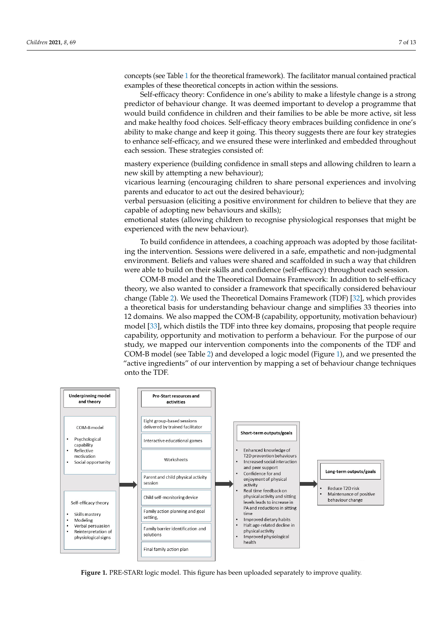concepts (see Table [1](#page-5-0) for the theoretical framework). The facilitator manual contained practical examples of these theoretical concepts in action within the sessions.

Self-efficacy theory: Confidence in one's ability to make a lifestyle change is a strong predictor of behaviour change. It was deemed important to develop a programme that would build confidence in children and their families to be able be more active, sit less and make healthy food choices. Self-efficacy theory embraces building confidence in one's ability to make change and keep it going. This theory suggests there are four key strategies to enhance self-efficacy, and we ensured these were interlinked and embedded throughout each session. These strategies consisted of:

mastery experience (building confidence in small steps and allowing children to learn a new skill by attempting a new behaviour);

vicarious learning (encouraging children to share personal experiences and involving parents and educator to act out the desired behaviour);

> verbal persuasion (eliciting a positive environment for children to believe that they are capable of adopting new behaviours and skills);

> emotional states (allowing children to recognise physiological responses that might be experienced with the new behaviour).  $\delta$ ur  $\beta$ .

> To build confidence in attendees, a coaching approach was adopted by those facilitating the intervention. Sessions were delivered in a safe, empathetic and non-judgmental environment. Beliefs and values were shared and scaffolded in such a way that children were able to build on their skills and confidence (self-efficacy) throughout each session.

COM-B model and the Theoretical Domains Framework: In addition to self-efficacy theory, we also wanted to consider a framework that specifically considered behaviour change (Table 2). We used the Theoretical Domains Framework (TDF) [\[32\]](#page-12-18), which provides a theoretical basis for understanding behaviour change and simplifies 33 theories into 12 domains. We also mapped the COM-B (capability, opportunity, motivation behaviour) model [\[33\]](#page-12-19), which distils the TDF into three key domains, proposing that people require capability, opportunity and motivation to perform a behaviour. For the purpose of our study, we mapped our intervention components into the components of the TDF and<br>COM P medal (ses Table 2) and developed a laria medal (Figure 1), and we generated the COM-B model (see Table [2\)](#page-8-0) and developed a logic model (Figure [1\)](#page-6-0), and we presented the ervice incate (see Taste 2) and developed a region medel (Figure 2), and we presented the "active ingredients" of our intervention by mapping a set of behaviour change techniques onto the TDF. a theore<br>12 doma games.

<span id="page-6-0"></span>

**Figure 1.** PRE-STARt logic model. This figure has been uploaded separately to improve quality. **Figure 1.** PRE-STARt logic model. This figure has been uploaded separately to improve quality.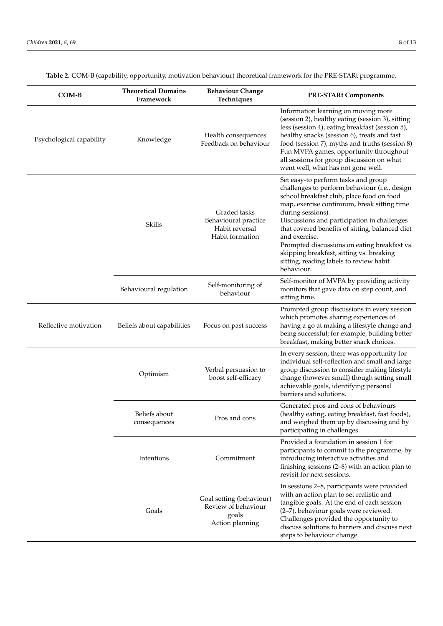| COM-B                    | <b>Theoretical Domains</b><br>Framework | <b>Behaviour Change</b><br>Techniques                                       | <b>PRE-STARt Components</b>                                                                                                                                                                                                                                                                                                                                                                                                                                                   |
|--------------------------|-----------------------------------------|-----------------------------------------------------------------------------|-------------------------------------------------------------------------------------------------------------------------------------------------------------------------------------------------------------------------------------------------------------------------------------------------------------------------------------------------------------------------------------------------------------------------------------------------------------------------------|
| Psychological capability | Knowledge                               | Health consequences<br>Feedback on behaviour                                | Information learning on moving more<br>(session 2), healthy eating (session 3), sitting<br>less (session 4), eating breakfast (session 5),<br>healthy snacks (session 6), treats and fast<br>food (session 7), myths and truths (session 8)<br>Fun MVPA games, opportunity throughout<br>all sessions for group discussion on what<br>went well, what has not gone well.                                                                                                      |
|                          | Skills                                  | Graded tasks<br>Behavioural practice<br>Habit reversal<br>Habit formation   | Set easy-to perform tasks and group<br>challenges to perform behaviour (i.e., design<br>school breakfast club, place food on food<br>map, exercise continuum, break sitting time<br>during sessions).<br>Discussions and participation in challenges<br>that covered benefits of sitting, balanced diet<br>and exercise.<br>Prompted discussions on eating breakfast vs.<br>skipping breakfast, sitting vs. breaking<br>sitting, reading labels to review habit<br>behaviour. |
|                          | Behavioural regulation                  | Self-monitoring of<br>behaviour                                             | Self-monitor of MVPA by providing activity<br>monitors that gave data on step count, and<br>sitting time.                                                                                                                                                                                                                                                                                                                                                                     |
| Reflective motivation    | Beliefs about capabilities              | Focus on past success                                                       | Prompted group discussions in every session<br>which promotes sharing experiences of<br>having a go at making a lifestyle change and<br>being successful; for example, building better<br>breakfast, making better snack choices.                                                                                                                                                                                                                                             |
|                          | Optimism                                | Verbal persuasion to<br>boost self-efficacy                                 | In every session, there was opportunity for<br>individual self-reflection and small and large<br>group discussion to consider making lifestyle<br>change (however small) though setting small<br>achievable goals, identifying personal<br>barriers and solutions.                                                                                                                                                                                                            |
|                          | Beliefs about<br>consequences           | Pros and cons                                                               | Generated pros and cons of behaviours<br>(healthy eating, eating breakfast, fast foods),<br>and weighed them up by discussing and by<br>participating in challenges.                                                                                                                                                                                                                                                                                                          |
|                          | Intentions                              | Commitment                                                                  | Provided a foundation in session 1 for<br>participants to commit to the programme, by<br>introducing interactive activities and<br>finishing sessions $(2-8)$ with an action plan to<br>revisit for next sessions.                                                                                                                                                                                                                                                            |
|                          | Goals                                   | Goal setting (behaviour)<br>Review of behaviour<br>goals<br>Action planning | In sessions 2–8, participants were provided<br>with an action plan to set realistic and<br>tangible goals. At the end of each session<br>(2-7), behaviour goals were reviewed.<br>Challenges provided the opportunity to<br>discuss solutions to barriers and discuss next<br>steps to behaviour change.                                                                                                                                                                      |

**Table 2.** COM-B (capability, opportunity, motivation behaviour) theoretical framework for the PRE-STARt programme.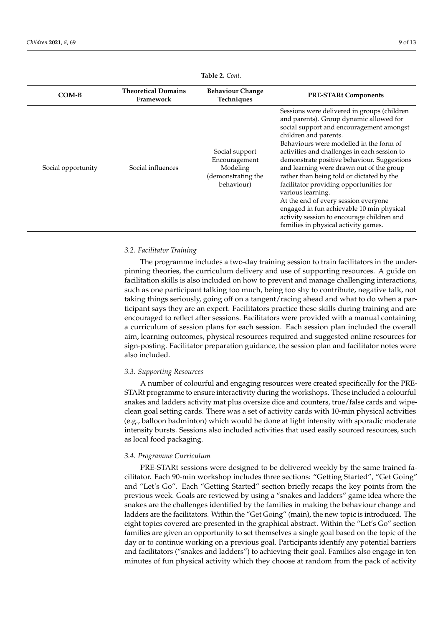<span id="page-8-0"></span>

|                    | <b>Theoretical Domains</b> | <b>Behaviour Change</b>                                                         |                                                                                                                                                                                                                                                                                                                                                                                                                                                                                                                                                                                                                                           |
|--------------------|----------------------------|---------------------------------------------------------------------------------|-------------------------------------------------------------------------------------------------------------------------------------------------------------------------------------------------------------------------------------------------------------------------------------------------------------------------------------------------------------------------------------------------------------------------------------------------------------------------------------------------------------------------------------------------------------------------------------------------------------------------------------------|
| COM-B              | Framework                  | Techniques                                                                      | <b>PRE-STARt Components</b>                                                                                                                                                                                                                                                                                                                                                                                                                                                                                                                                                                                                               |
| Social opportunity | Social influences          | Social support<br>Encouragement<br>Modeling<br>(demonstrating the<br>behaviour) | Sessions were delivered in groups (children<br>and parents). Group dynamic allowed for<br>social support and encouragement amongst<br>children and parents.<br>Behaviours were modelled in the form of<br>activities and challenges in each session to<br>demonstrate positive behaviour. Suggestions<br>and learning were drawn out of the group<br>rather than being told or dictated by the<br>facilitator providing opportunities for<br>various learning.<br>At the end of every session everyone<br>engaged in fun achievable 10 min physical<br>activity session to encourage children and<br>families in physical activity games. |

**Table 2.** *Cont.*

# *3.2. Facilitator Training*

The programme includes a two-day training session to train facilitators in the underpinning theories, the curriculum delivery and use of supporting resources. A guide on facilitation skills is also included on how to prevent and manage challenging interactions, such as one participant talking too much, being too shy to contribute, negative talk, not taking things seriously, going off on a tangent/racing ahead and what to do when a participant says they are an expert. Facilitators practice these skills during training and are encouraged to reflect after sessions. Facilitators were provided with a manual containing a curriculum of session plans for each session. Each session plan included the overall aim, learning outcomes, physical resources required and suggested online resources for sign-posting. Facilitator preparation guidance, the session plan and facilitator notes were also included.

# *3.3. Supporting Resources*

A number of colourful and engaging resources were created specifically for the PRE-STARt programme to ensure interactivity during the workshops. These included a colourful snakes and ladders activity mat plus oversize dice and counters, true/false cards and wipeclean goal setting cards. There was a set of activity cards with 10-min physical activities (e.g., balloon badminton) which would be done at light intensity with sporadic moderate intensity bursts. Sessions also included activities that used easily sourced resources, such as local food packaging.

#### *3.4. Programme Curriculum*

PRE-STARt sessions were designed to be delivered weekly by the same trained facilitator. Each 90-min workshop includes three sections: "Getting Started", "Get Going" and "Let's Go". Each "Getting Started" section briefly recaps the key points from the previous week. Goals are reviewed by using a "snakes and ladders" game idea where the snakes are the challenges identified by the families in making the behaviour change and ladders are the facilitators. Within the "Get Going" (main), the new topic is introduced. The eight topics covered are presented in the graphical abstract. Within the "Let's Go" section families are given an opportunity to set themselves a single goal based on the topic of the day or to continue working on a previous goal. Participants identify any potential barriers and facilitators ("snakes and ladders") to achieving their goal. Families also engage in ten minutes of fun physical activity which they choose at random from the pack of activity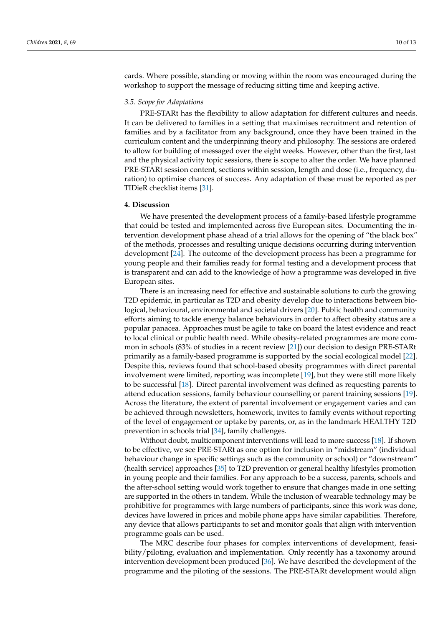cards. Where possible, standing or moving within the room was encouraged during the workshop to support the message of reducing sitting time and keeping active.

# *3.5. Scope for Adaptations*

PRE-STARt has the flexibility to allow adaptation for different cultures and needs. It can be delivered to families in a setting that maximises recruitment and retention of families and by a facilitator from any background, once they have been trained in the curriculum content and the underpinning theory and philosophy. The sessions are ordered to allow for building of messaged over the eight weeks. However, other than the first, last and the physical activity topic sessions, there is scope to alter the order. We have planned PRE-STARt session content, sections within session, length and dose (i.e., frequency, duration) to optimise chances of success. Any adaptation of these must be reported as per TIDieR checklist items [\[31\]](#page-12-17).

## **4. Discussion**

We have presented the development process of a family-based lifestyle programme that could be tested and implemented across five European sites. Documenting the intervention development phase ahead of a trial allows for the opening of "the black box" of the methods, processes and resulting unique decisions occurring during intervention development [\[24\]](#page-12-10). The outcome of the development process has been a programme for young people and their families ready for formal testing and a development process that is transparent and can add to the knowledge of how a programme was developed in five European sites.

There is an increasing need for effective and sustainable solutions to curb the growing T2D epidemic, in particular as T2D and obesity develop due to interactions between biological, behavioural, environmental and societal drivers [\[20\]](#page-12-5). Public health and community efforts aiming to tackle energy balance behaviours in order to affect obesity status are a popular panacea. Approaches must be agile to take on board the latest evidence and react to local clinical or public health need. While obesity-related programmes are more common in schools (83% of studies in a recent review [\[21\]](#page-12-6)) our decision to design PRE-STARt primarily as a family-based programme is supported by the social ecological model [\[22\]](#page-12-7). Despite this, reviews found that school-based obesity programmes with direct parental involvement were limited, reporting was incomplete [\[19\]](#page-12-8), but they were still more likely to be successful [\[18\]](#page-12-4). Direct parental involvement was defined as requesting parents to attend education sessions, family behaviour counselling or parent training sessions [\[19\]](#page-12-8). Across the literature, the extent of parental involvement or engagement varies and can be achieved through newsletters, homework, invites to family events without reporting of the level of engagement or uptake by parents, or, as in the landmark HEALTHY T2D prevention in schools trial [\[34\]](#page-12-20), family challenges.

Without doubt, multicomponent interventions will lead to more success [\[18\]](#page-12-4). If shown to be effective, we see PRE-STARt as one option for inclusion in "midstream" (individual behaviour change in specific settings such as the community or school) or "downstream" (health service) approaches [\[35\]](#page-12-21) to T2D prevention or general healthy lifestyles promotion in young people and their families. For any approach to be a success, parents, schools and the after-school setting would work together to ensure that changes made in one setting are supported in the others in tandem. While the inclusion of wearable technology may be prohibitive for programmes with large numbers of participants, since this work was done, devices have lowered in prices and mobile phone apps have similar capabilities. Therefore, any device that allows participants to set and monitor goals that align with intervention programme goals can be used.

The MRC describe four phases for complex interventions of development, feasibility/piloting, evaluation and implementation. Only recently has a taxonomy around intervention development been produced [\[36\]](#page-12-22). We have described the development of the programme and the piloting of the sessions. The PRE-STARt development would align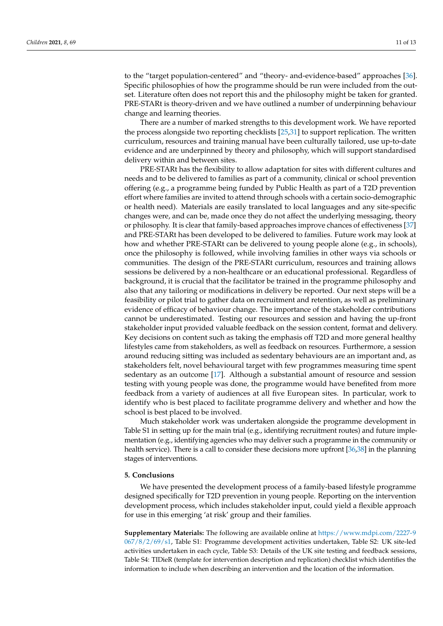to the "target population-centered" and "theory- and-evidence-based" approaches [\[36\]](#page-12-22). Specific philosophies of how the programme should be run were included from the outset. Literature often does not report this and the philosophy might be taken for granted. PRE-STARt is theory-driven and we have outlined a number of underpinning behaviour change and learning theories.

There are a number of marked strengths to this development work. We have reported the process alongside two reporting checklists [\[25,](#page-12-11)[31\]](#page-12-17) to support replication. The written curriculum, resources and training manual have been culturally tailored, use up-to-date evidence and are underpinned by theory and philosophy, which will support standardised delivery within and between sites.

PRE-STARt has the flexibility to allow adaptation for sites with different cultures and needs and to be delivered to families as part of a community, clinical or school prevention offering (e.g., a programme being funded by Public Health as part of a T2D prevention effort where families are invited to attend through schools with a certain socio-demographic or health need). Materials are easily translated to local languages and any site-specific changes were, and can be, made once they do not affect the underlying messaging, theory or philosophy. It is clear that family-based approaches improve chances of effectiveness [\[37\]](#page-12-23) and PRE-STARt has been developed to be delivered to families. Future work may look at how and whether PRE-STARt can be delivered to young people alone (e.g., in schools), once the philosophy is followed, while involving families in other ways via schools or communities. The design of the PRE-STARt curriculum, resources and training allows sessions be delivered by a non-healthcare or an educational professional. Regardless of background, it is crucial that the facilitator be trained in the programme philosophy and also that any tailoring or modifications in delivery be reported. Our next steps will be a feasibility or pilot trial to gather data on recruitment and retention, as well as preliminary evidence of efficacy of behaviour change. The importance of the stakeholder contributions cannot be underestimated. Testing our resources and session and having the up-front stakeholder input provided valuable feedback on the session content, format and delivery. Key decisions on content such as taking the emphasis off T2D and more general healthy lifestyles came from stakeholders, as well as feedback on resources. Furthermore, a session around reducing sitting was included as sedentary behaviours are an important and, as stakeholders felt, novel behavioural target with few programmes measuring time spent sedentary as an outcome [\[17\]](#page-12-3). Although a substantial amount of resource and session testing with young people was done, the programme would have benefited from more feedback from a variety of audiences at all five European sites. In particular, work to identify who is best placed to facilitate programme delivery and whether and how the school is best placed to be involved.

Much stakeholder work was undertaken alongside the programme development in Table S1 in setting up for the main trial (e.g., identifying recruitment routes) and future implementation (e.g., identifying agencies who may deliver such a programme in the community or health service). There is a call to consider these decisions more upfront [\[36,](#page-12-22)[38\]](#page-12-24) in the planning stages of interventions.

# **5. Conclusions**

We have presented the development process of a family-based lifestyle programme designed specifically for T2D prevention in young people. Reporting on the intervention development process, which includes stakeholder input, could yield a flexible approach for use in this emerging 'at risk' group and their families.

**Supplementary Materials:** The following are available online at [https://www.mdpi.com/2227-9](https://www.mdpi.com/2227-9067/8/2/69/s1) [067/8/2/69/s1,](https://www.mdpi.com/2227-9067/8/2/69/s1) Table S1: Programme development activities undertaken, Table S2: UK site-led activities undertaken in each cycle, Table S3: Details of the UK site testing and feedback sessions, Table S4: TIDieR (template for intervention description and replication) checklist which identifies the information to include when describing an intervention and the location of the information.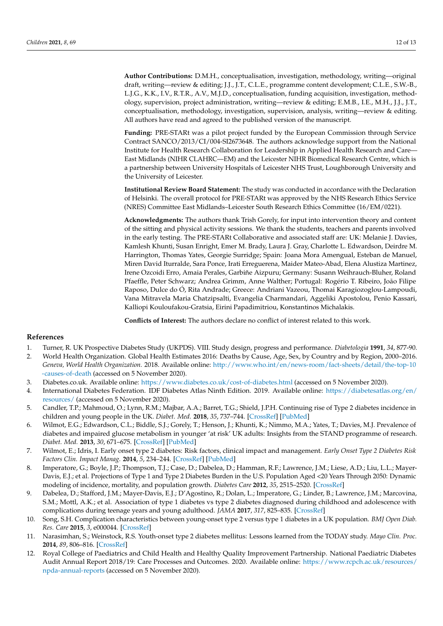**Author Contributions:** D.M.H., conceptualisation, investigation, methodology, writing—original draft, writing—review & editing; J.J., J.T., C.L.E., programme content development; C.L.E., S.W.-B., L.J.G., K.K., I.V., R.T.R., A.V., M.J.D., conceptualisation, funding acquisition, investigation, methodology, supervision, project administration, writing—review & editing; E.M.B., I.E., M.H., J.J., J.T., conceptualisation, methodology, investigation, supervision, analysis, writing—review & editing. All authors have read and agreed to the published version of the manuscript.

**Funding:** PRE-STARt was a pilot project funded by the European Commission through Service Contract SANCO/2013/CI/004-SI2673648. The authors acknowledge support from the National Institute for Health Research Collaboration for Leadership in Applied Health Research and Care— East Midlands (NIHR CLAHRC—EM) and the Leicester NIHR Biomedical Research Centre, which is a partnership between University Hospitals of Leicester NHS Trust, Loughborough University and the University of Leicester.

**Institutional Review Board Statement:** The study was conducted in accordance with the Declaration of Helsinki. The overall protocol for PRE-STARt was approved by the NHS Research Ethics Service (NRES) Committee East Midlands–Leicester South Research Ethics Committee (16/EM/0221).

**Acknowledgments:** The authors thank Trish Gorely, for input into intervention theory and content of the sitting and physical activity sessions. We thank the students, teachers and parents involved in the early testing. The PRE-STARt Collaborative and associated staff are: UK: Melanie J. Davies, Kamlesh Khunti, Susan Enright, Emer M. Brady, Laura J. Gray, Charlotte L. Edwardson, Deirdre M. Harrington, Thomas Yates, Georgie Surridge; Spain: Joana Mora Amengual, Esteban de Manuel, Miren David Iturralde, Sara Ponce, Irati Erreguerena, Maider Mateo-Abad, Elena Alustiza Martinez, Irene Ozcoidi Erro, Amaia Perales, Garbiñe Aizpuru; Germany: Susann Weihrauch-Bluher, Roland Pfaeffle, Peter Schwarz; Andrea Grimm, Anne Walther; Portugal: Rogério T. Ribeiro, João Filipe Raposo, Dulce do Ó, Rita Andrade; Greece: Andriani Vazeou, Thomai Karagiozoglou-Lampoudi, Vana Mitravela Maria Chatzipsalti, Evangelia Charmandari, Aggeliki Apostolou, Penio Kassari, Kalliopi Kouloufakou-Gratsia, Eirini Papadimitriou, Konstantinos Michalakis.

**Conflicts of Interest:** The authors declare no conflict of interest related to this work.

#### **References**

- <span id="page-11-0"></span>1. Turner, R. UK Prospective Diabetes Study (UKPDS). VIII. Study design, progress and performance. *Diabetologia* **1991**, *34*, 877-90.
- <span id="page-11-1"></span>2. World Health Organization. Global Health Estimates 2016: Deaths by Cause, Age, Sex, by Country and by Region, 2000–2016. *Geneva, World Health Organization.* 2018. Available online: [http://www.who.int/en/news-room/fact-sheets/detail/the-top-10](http://www.who.int/en/news-room/fact-sheets/detail/the-top-10-causes-of-death) [-causes-of-death](http://www.who.int/en/news-room/fact-sheets/detail/the-top-10-causes-of-death) (accessed on 5 November 2020).
- <span id="page-11-2"></span>3. Diabetes.co.uk. Available online: <https://www.diabetes.co.uk/cost-of-diabetes.html> (accessed on 5 November 2020).
- <span id="page-11-3"></span>4. International Diabetes Federation. IDF Diabetes Atlas Ninth Edition. 2019. Available online: [https://diabetesatlas.org/en/](https://diabetesatlas.org/en/resources/) [resources/](https://diabetesatlas.org/en/resources/) (accessed on 5 November 2020).
- <span id="page-11-4"></span>5. Candler, T.P.; Mahmoud, O.; Lynn, R.M.; Majbar, A.A.; Barret, T.G.; Shield, J.P.H. Continuing rise of Type 2 diabetes incidence in children and young people in the UK. *Diabet. Med.* **2018**, *35*, 737–744. [\[CrossRef\]](http://doi.org/10.1111/dme.13609) [\[PubMed\]](http://www.ncbi.nlm.nih.gov/pubmed/29460341)
- 6. Wilmot, E.G.; Edwardson, C.L.; Biddle, S.J.; Gorely, T.; Henson, J.; Khunti, K.; Nimmo, M.A.; Yates, T.; Davies, M.J. Prevalence of diabetes and impaired glucose metabolism in younger 'at risk' UK adults: Insights from the STAND programme of research. *Diabet. Med.* **2013**, *30*, 671–675. [\[CrossRef\]](http://doi.org/10.1111/dme.12173) [\[PubMed\]](http://www.ncbi.nlm.nih.gov/pubmed/23506383)
- <span id="page-11-5"></span>7. Wilmot, E.; Idris, I. Early onset type 2 diabetes: Risk factors, clinical impact and management. *Early Onset Type 2 Diabetes Risk Factors Clin. Impact Manag.* **2014**, *5*, 234–244. [\[CrossRef\]](http://doi.org/10.1177/2040622314548679) [\[PubMed\]](http://www.ncbi.nlm.nih.gov/pubmed/25364491)
- <span id="page-11-6"></span>8. Imperatore, G.; Boyle, J.P.; Thompson, T.J.; Case, D.; Dabelea, D.; Hamman, R.F.; Lawrence, J.M.; Liese, A.D.; Liu, L.L.; Mayer-Davis, E.J.; et al. Projections of Type 1 and Type 2 Diabetes Burden in the U.S. Population Aged <20 Years Through 2050: Dynamic modeling of incidence, mortality, and population growth. *Diabetes Care* **2012**, *35*, 2515–2520. [\[CrossRef\]](http://doi.org/10.2337/dc12-0669)
- <span id="page-11-7"></span>9. Dabelea, D.; Stafford, J.M.; Mayer-Davis, E.J.; D'Agostino, R.; Dolan, L.; Imperatore, G.; Linder, B.; Lawrence, J.M.; Marcovina, S.M.; Mottl, A.K.; et al. Association of type 1 diabetes vs type 2 diabetes diagnosed during childhood and adolescence with complications during teenage years and young adulthood. *JAMA* **2017**, *317*, 825–835. [\[CrossRef\]](http://doi.org/10.1001/jama.2017.0686)
- 10. Song, S.H. Complication characteristics between young-onset type 2 versus type 1 diabetes in a UK population. *BMJ Open Diab. Res. Care* **2015**, *3*, e000044. [\[CrossRef\]](http://doi.org/10.1136/bmjdrc-2014-000044)
- <span id="page-11-8"></span>11. Narasimhan, S.; Weinstock, R.S. Youth-onset type 2 diabetes mellitus: Lessons learned from the TODAY study. *Mayo Clin. Proc.* **2014**, *89*, 806–816. [\[CrossRef\]](http://doi.org/10.1016/j.mayocp.2014.01.009)
- <span id="page-11-9"></span>12. Royal College of Paediatrics and Child Health and Healthy Quality Improvement Partnership. National Paediatric Diabetes Audit Annual Report 2018/19: Care Processes and Outcomes. 2020. Available online: [https://www.rcpch.ac.uk/resources/](https://www.rcpch.ac.uk/resources/npda-annual-reports) [npda-annual-reports](https://www.rcpch.ac.uk/resources/npda-annual-reports) (accessed on 5 November 2020).